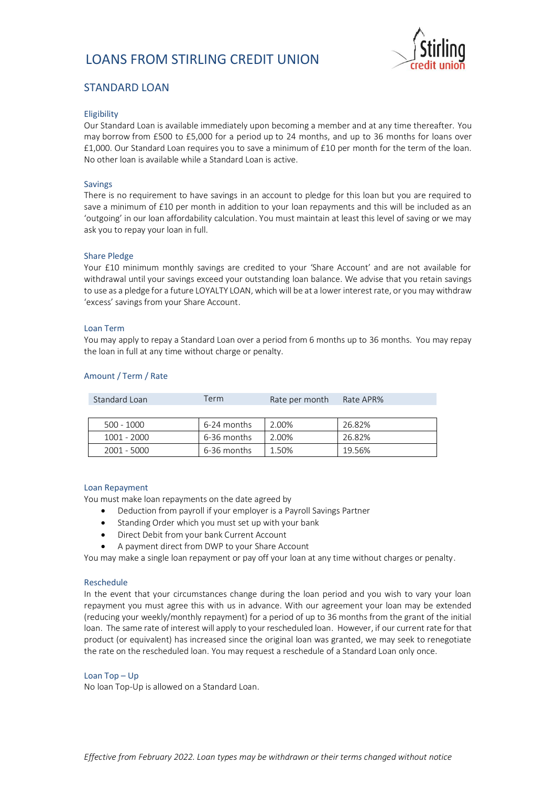

# STANDARD LOAN

### Eligibility

Our Standard Loan is available immediately upon becoming a member and at any time thereafter. You may borrow from £500 to £5,000 for a period up to 24 months, and up to 36 months for loans over £1,000. Our Standard Loan requires you to save a minimum of £10 per month for the term of the loan. No other loan is available while a Standard Loan is active.

### Savings

There is no requirement to have savings in an account to pledge for this loan but you are required to save a minimum of £10 per month in addition to your loan repayments and this will be included as an 'outgoing' in our loan affordability calculation. You must maintain at least this level of saving or we may ask you to repay your loan in full.

#### Share Pledge

Your £10 minimum monthly savings are credited to your 'Share Account' and are not available for withdrawal until your savings exceed your outstanding loan balance. We advise that you retain savings to use as a pledge for a future LOYALTY LOAN, which will be at a lower interest rate, or you may withdraw 'excess' savings from your Share Account.

#### Loan Term

You may apply to repay a Standard Loan over a period from 6 months up to 36 months. You may repay the loan in full at any time without charge or penalty.

| Standard Loan | Term        | Rate per month | Rate APR% |
|---------------|-------------|----------------|-----------|
|               |             |                |           |
| $500 - 1000$  | 6-24 months | 2.00%          | 26.82%    |
| 1001 - 2000   | 6-36 months | 2.00%          | 26.82%    |
| 2001 - 5000   | 6-36 months | 1.50%          | 19.56%    |

#### Amount / Term / Rate

#### Loan Repayment

You must make loan repayments on the date agreed by

- Deduction from payroll if your employer is a Payroll Savings Partner
- Standing Order which you must set up with your bank
- Direct Debit from your bank Current Account
- A payment direct from DWP to your Share Account

You may make a single loan repayment or pay off your loan at any time without charges or penalty.

#### Reschedule

In the event that your circumstances change during the loan period and you wish to vary your loan repayment you must agree this with us in advance. With our agreement your loan may be extended (reducing your weekly/monthly repayment) for a period of up to 36 months from the grant of the initial loan. The same rate of interest will apply to your rescheduled loan. However, if our current rate for that product (or equivalent) has increased since the original loan was granted, we may seek to renegotiate the rate on the rescheduled loan. You may request a reschedule of a Standard Loan only once.

#### Loan Top – Up

No loan Top-Up is allowed on a Standard Loan.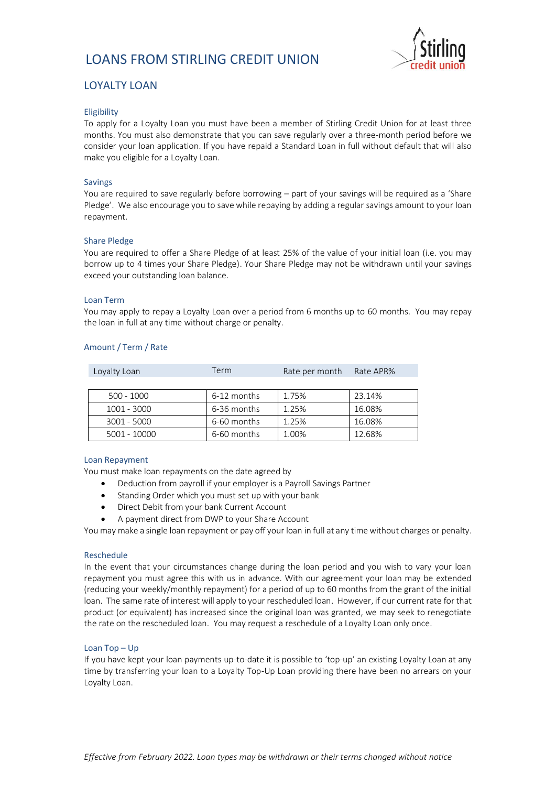

# LOYALTY LOAN

# Eligibility

To apply for a Loyalty Loan you must have been a member of Stirling Credit Union for at least three months. You must also demonstrate that you can save regularly over a three-month period before we consider your loan application. If you have repaid a Standard Loan in full without default that will also make you eligible for a Loyalty Loan.

# Savings

You are required to save regularly before borrowing – part of your savings will be required as a 'Share Pledge'. We also encourage you to save while repaying by adding a regular savings amount to your loan repayment.

# Share Pledge

You are required to offer a Share Pledge of at least 25% of the value of your initial loan (i.e. you may borrow up to 4 times your Share Pledge). Your Share Pledge may not be withdrawn until your savings exceed your outstanding loan balance.

#### Loan Term

You may apply to repay a Loyalty Loan over a period from 6 months up to 60 months. You may repay the loan in full at any time without charge or penalty.

# Amount / Term / Rate

| Loyalty Loan  | Term        | Rate per month | Rate APR% |
|---------------|-------------|----------------|-----------|
|               |             |                |           |
| $500 - 1000$  | 6-12 months | 1.75%          | 23.14%    |
| 1001 - 3000   | 6-36 months | 1.25%          | 16.08%    |
| $3001 - 5000$ | 6-60 months | 1.25%          | 16.08%    |
| 5001 - 10000  | 6-60 months | 1.00%          | 12.68%    |

# Loan Repayment

You must make loan repayments on the date agreed by

- Deduction from payroll if your employer is a Payroll Savings Partner
- Standing Order which you must set up with your bank
- Direct Debit from your bank Current Account
- A payment direct from DWP to your Share Account

You may make a single loan repayment or pay off your loan in full at any time without charges or penalty.

#### Reschedule

In the event that your circumstances change during the loan period and you wish to vary your loan repayment you must agree this with us in advance. With our agreement your loan may be extended (reducing your weekly/monthly repayment) for a period of up to 60 months from the grant of the initial loan. The same rate of interest will apply to your rescheduled loan. However, if our current rate for that product (or equivalent) has increased since the original loan was granted, we may seek to renegotiate the rate on the rescheduled loan. You may request a reschedule of a Loyalty Loan only once.

# Loan Top – Up

If you have kept your loan payments up-to-date it is possible to 'top-up' an existing Loyalty Loan at any time by transferring your loan to a Loyalty Top-Up Loan providing there have been no arrears on your Loyalty Loan.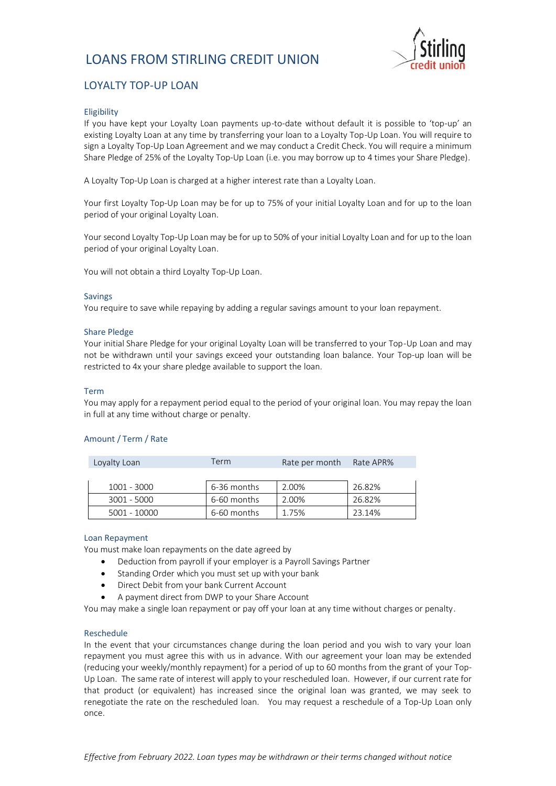

# LOYALTY TOP-UP LOAN

# Eligibility

If you have kept your Loyalty Loan payments up-to-date without default it is possible to 'top-up' an existing Loyalty Loan at any time by transferring your loan to a Loyalty Top-Up Loan. You will require to sign a Loyalty Top-Up Loan Agreement and we may conduct a Credit Check. You will require a minimum Share Pledge of 25% of the Loyalty Top-Up Loan (i.e. you may borrow up to 4 times your Share Pledge).

A Loyalty Top-Up Loan is charged at a higher interest rate than a Loyalty Loan.

Your first Loyalty Top-Up Loan may be for up to 75% of your initial Loyalty Loan and for up to the loan period of your original Loyalty Loan.

Your second Loyalty Top-Up Loan may be for up to 50% of your initial Loyalty Loan and for up to the loan period of your original Loyalty Loan.

You will not obtain a third Loyalty Top-Up Loan.

#### Savings

You require to save while repaying by adding a regular savings amount to your loan repayment.

# Share Pledge

Your initial Share Pledge for your original Loyalty Loan will be transferred to your Top-Up Loan and may not be withdrawn until your savings exceed your outstanding loan balance. Your Top-up loan will be restricted to 4x your share pledge available to support the loan.

### Term

You may apply for a repayment period equal to the period of your original loan. You may repay the loan in full at any time without charge or penalty.

# Amount / Term / Rate

| Loyalty Loan  | Term        | Rate per month | Rate APR% |
|---------------|-------------|----------------|-----------|
|               |             |                |           |
| 1001 - 3000   | 6-36 months | 2.00%          | 26.82%    |
| $3001 - 5000$ | 6-60 months | 2.00%          | 26.82%    |
| 5001 - 10000  | 6-60 months |                | 23.14%    |

#### Loan Repayment

You must make loan repayments on the date agreed by

- Deduction from payroll if your employer is a Payroll Savings Partner
- Standing Order which you must set up with your bank
- Direct Debit from your bank Current Account
- A payment direct from DWP to your Share Account

You may make a single loan repayment or pay off your loan at any time without charges or penalty.

# Reschedule

In the event that your circumstances change during the loan period and you wish to vary your loan repayment you must agree this with us in advance. With our agreement your loan may be extended (reducing your weekly/monthly repayment) for a period of up to 60 months from the grant of your Top-Up Loan. The same rate of interest will apply to your rescheduled loan. However, if our current rate for that product (or equivalent) has increased since the original loan was granted, we may seek to renegotiate the rate on the rescheduled loan. You may request a reschedule of a Top-Up Loan only once.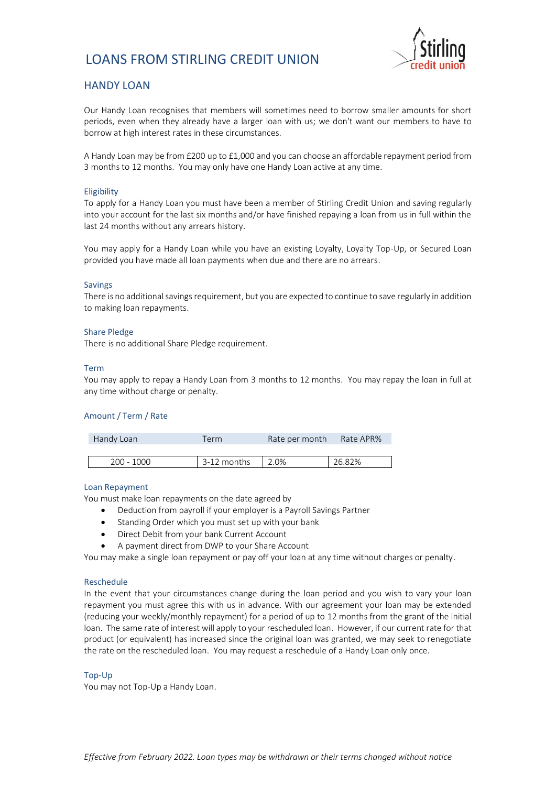

# HANDY LOAN

Our Handy Loan recognises that members will sometimes need to borrow smaller amounts for short periods, even when they already have a larger loan with us; we don't want our members to have to borrow at high interest rates in these circumstances.

A Handy Loan may be from £200 up to £1,000 and you can choose an affordable repayment period from 3 months to 12 months. You may only have one Handy Loan active at any time.

#### Eligibility

To apply for a Handy Loan you must have been a member of Stirling Credit Union and saving regularly into your account for the last six months and/or have finished repaying a loan from us in full within the last 24 months without any arrears history.

You may apply for a Handy Loan while you have an existing Loyalty, Loyalty Top-Up, or Secured Loan provided you have made all loan payments when due and there are no arrears.

#### Savings

There is no additional savings requirement, but you are expected to continue to save regularly in addition to making loan repayments.

#### Share Pledge

There is no additional Share Pledge requirement.

#### Term

You may apply to repay a Handy Loan from 3 months to 12 months. You may repay the loan in full at any time without charge or penalty.

# Amount / Term / Rate

| Handy Loan   | Term.       | Rate per month | Rate APR% |
|--------------|-------------|----------------|-----------|
|              |             |                |           |
| $200 - 1000$ | 3-12 months | 2.0%           | 26.82%    |

#### Loan Repayment

You must make loan repayments on the date agreed by

- Deduction from payroll if your employer is a Payroll Savings Partner
- Standing Order which you must set up with your bank
- Direct Debit from your bank Current Account
- A payment direct from DWP to your Share Account

You may make a single loan repayment or pay off your loan at any time without charges or penalty.

#### Reschedule

In the event that your circumstances change during the loan period and you wish to vary your loan repayment you must agree this with us in advance. With our agreement your loan may be extended (reducing your weekly/monthly repayment) for a period of up to 12 months from the grant of the initial loan. The same rate of interest will apply to your rescheduled loan. However, if our current rate for that product (or equivalent) has increased since the original loan was granted, we may seek to renegotiate the rate on the rescheduled loan. You may request a reschedule of a Handy Loan only once.

#### Top-Up

You may not Top-Up a Handy Loan.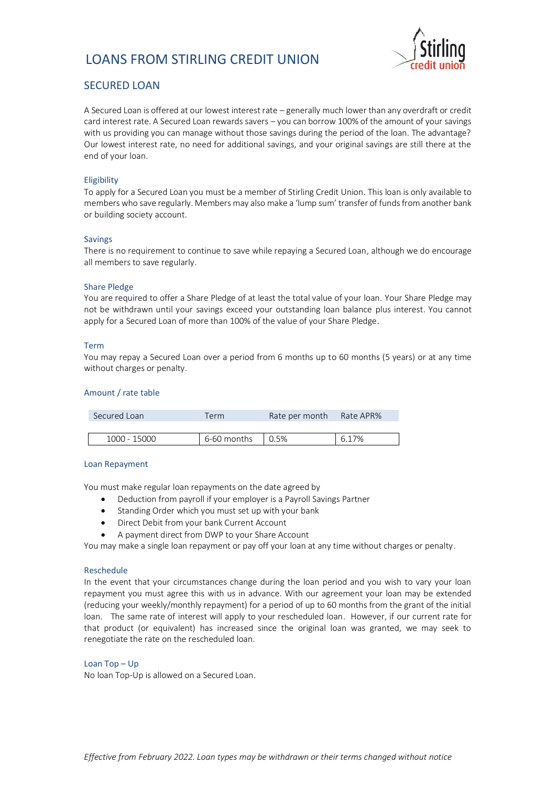

# SECURED LOAN

A Secured Loan is offered at our lowest interest rate – generally much lower than any overdraft or credit card interest rate. A Secured Loan rewards savers – you can borrow 100% of the amount of your savings with us providing you can manage without those savings during the period of the loan. The advantage? Our lowest interest rate, no need for additional savings, and your original savings are still there at the end of your loan.

# Eligibility

To apply for a Secured Loan you must be a member of Stirling Credit Union. This loan is only available to members who save regularly. Members may also make a 'lump sum' transfer of funds from another bank or building society account.

# Savings

There is no requirement to continue to save while repaying a Secured Loan, although we do encourage all members to save regularly.

# Share Pledge

You are required to offer a Share Pledge of at least the total value of your loan. Your Share Pledge may not be withdrawn until your savings exceed your outstanding loan balance plus interest. You cannot apply for a Secured Loan of more than 100% of the value of your Share Pledge.

# Term

You may repay a Secured Loan over a period from 6 months up to 60 months (5 years) or at any time without charges or penalty.

# Amount / rate table

| Secured Loan | Term        | Rate per month Rate APR% |       |
|--------------|-------------|--------------------------|-------|
|              |             |                          |       |
| 1000 - 15000 | 6-60 months | 0.5%                     | 6.17% |

# Loan Repayment

You must make regular loan repayments on the date agreed by

- Deduction from payroll if your employer is a Payroll Savings Partner
- Standing Order which you must set up with your bank
- Direct Debit from your bank Current Account
- A payment direct from DWP to your Share Account

You may make a single loan repayment or pay off your loan at any time without charges or penalty.

# Reschedule

In the event that your circumstances change during the loan period and you wish to vary your loan repayment you must agree this with us in advance. With our agreement your loan may be extended (reducing your weekly/monthly repayment) for a period of up to 60 months from the grant of the initial loan. The same rate of interest will apply to your rescheduled loan. However, if our current rate for that product (or equivalent) has increased since the original loan was granted, we may seek to renegotiate the rate on the rescheduled loan.

# Loan Top – Up

No loan Top-Up is allowed on a Secured Loan.